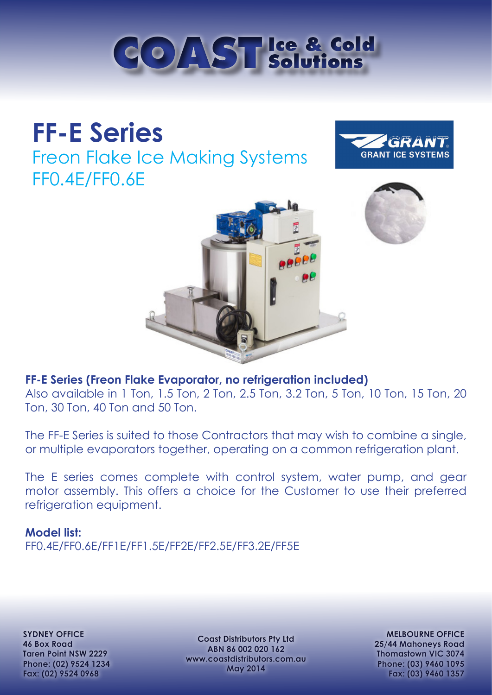

# **FF-E Series**

Freon Flake Ice Making Systems FF0.4E/FF0.6E







### **FF-E Series (Freon Flake Evaporator, no refrigeration included)**

Also available in 1 Ton, 1.5 Ton, 2 Ton, 2.5 Ton, 3.2 Ton, 5 Ton, 10 Ton, 15 Ton, 20 Ton, 30 Ton, 40 Ton and 50 Ton.

The FF-E Series is suited to those Contractors that may wish to combine a single, or multiple evaporators together, operating on a common refrigeration plant.

The E series comes complete with control system, water pump, and gear motor assembly. This offers a choice for the Customer to use their preferred refrigeration equipment.

#### **Model list:**

FF0.4E/FF0.6E/FF1E/FF1.5E/FF2E/FF2.5E/FF3.2E/FF5E

**SYDNEY OFFICE 46 Box Road Taren Point NSW 2229 Phone: (02) 9524 1234 Fax: (02) 9524 0968**

**Coast Distributors Pty Ltd ABN 86 002 020 162 www.coastdistributors.com.au May 2014**

**MELBOURNE OFFICE 25/44 Mahoneys Road Thomastown VIC 3074 Phone: (03) 9460 1095 Fax: (03) 9460 1357**